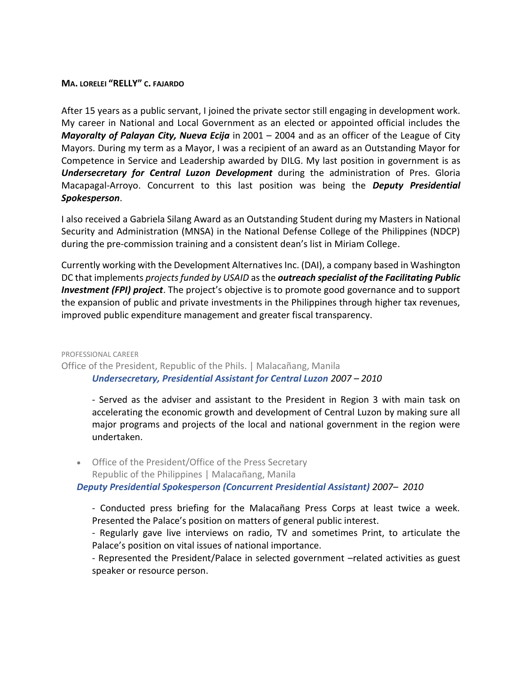## **MA. LORELEI "RELLY" C. FAJARDO**

After 15 years as a public servant, I joined the private sector still engaging in development work. My career in National and Local Government as an elected or appointed official includes the *Mayoralty of Palayan City, Nueva Ecija* in 2001 – 2004 and as an officer of the League of City Mayors. During my term as a Mayor, I was a recipient of an award as an Outstanding Mayor for Competence in Service and Leadership awarded by DILG. My last position in government is as *Undersecretary for Central Luzon Development* during the administration of Pres. Gloria Macapagal-Arroyo. Concurrent to this last position was being the *Deputy Presidential Spokesperson*.

I also received a Gabriela Silang Award as an Outstanding Student during my Masters in National Security and Administration (MNSA) in the National Defense College of the Philippines (NDCP) during the pre-commission training and a consistent dean's list in Miriam College.

Currently working with the Development Alternatives Inc. (DAI), a company based in Washington DC that implements *projects funded by USAID* as the *outreach specialist of the Facilitating Public Investment (FPI) project*. The project's objective is to promote good governance and to support the expansion of public and private investments in the Philippines through higher tax revenues, improved public expenditure management and greater fiscal transparency.

# PROFESSIONAL CAREER Office of the President, Republic of the Phils. | Malacañang, Manila *Undersecretary, Presidential Assistant for Central Luzon 2007 – 2010*

- Served as the adviser and assistant to the President in Region 3 with main task on accelerating the economic growth and development of Central Luzon by making sure all major programs and projects of the local and national government in the region were undertaken.

 Office of the President/Office of the Press Secretary Republic of the Philippines | Malacañang, Manila

*Deputy Presidential Spokesperson (Concurrent Presidential Assistant) 2007– 2010*

- Conducted press briefing for the Malacañang Press Corps at least twice a week. Presented the Palace's position on matters of general public interest.

- Regularly gave live interviews on radio, TV and sometimes Print, to articulate the Palace's position on vital issues of national importance.

- Represented the President/Palace in selected government –related activities as guest speaker or resource person.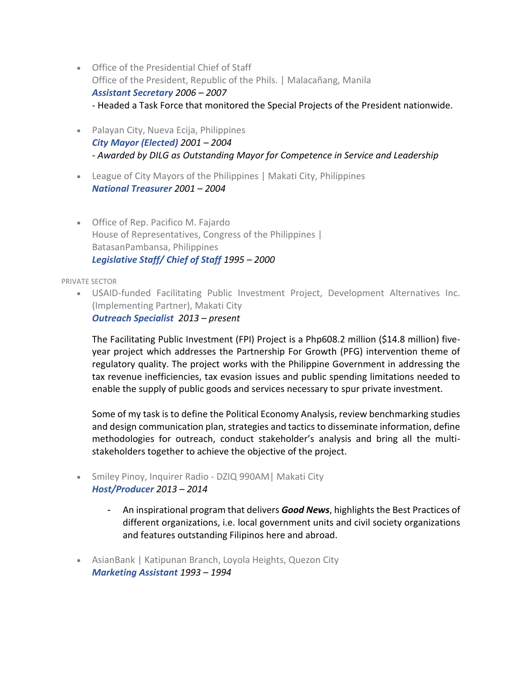- Office of the Presidential Chief of Staff Office of the President, Republic of the Phils. | Malacañang, Manila *Assistant Secretary 2006 – 2007* - Headed a Task Force that monitored the Special Projects of the President nationwide.
- Palayan City, Nueva Ecija, Philippines *City Mayor (Elected) 2001 – 2004 - Awarded by DILG as Outstanding Mayor for Competence in Service and Leadership*
- League of City Mayors of the Philippines | Makati City, Philippines *National Treasurer 2001 – 2004*
- Office of Rep. Pacifico M. Fajardo House of Representatives, Congress of the Philippines | BatasanPambansa, Philippines *Legislative Staff/ Chief of Staff 1995 – 2000*

PRIVATE SECTOR

 USAID-funded Facilitating Public Investment Project, Development Alternatives Inc. (Implementing Partner), Makati City *Outreach Specialist 2013 – present*

The Facilitating Public Investment (FPI) Project is a Php608.2 million (\$14.8 million) fiveyear project which addresses the Partnership For Growth (PFG) intervention theme of regulatory quality. The project works with the Philippine Government in addressing the tax revenue inefficiencies, tax evasion issues and public spending limitations needed to enable the supply of public goods and services necessary to spur private investment.

Some of my task is to define the Political Economy Analysis, review benchmarking studies and design communication plan, strategies and tactics to disseminate information, define methodologies for outreach, conduct stakeholder's analysis and bring all the multistakeholders together to achieve the objective of the project.

- Smiley Pinoy, Inquirer Radio DZIQ 990AM| Makati City *Host/Producer 2013 – 2014*
	- An inspirational program that delivers *Good News*, highlights the Best Practices of different organizations, i.e. local government units and civil society organizations and features outstanding Filipinos here and abroad.
- AsianBank | Katipunan Branch, Loyola Heights, Quezon City *Marketing Assistant 1993 – 1994*